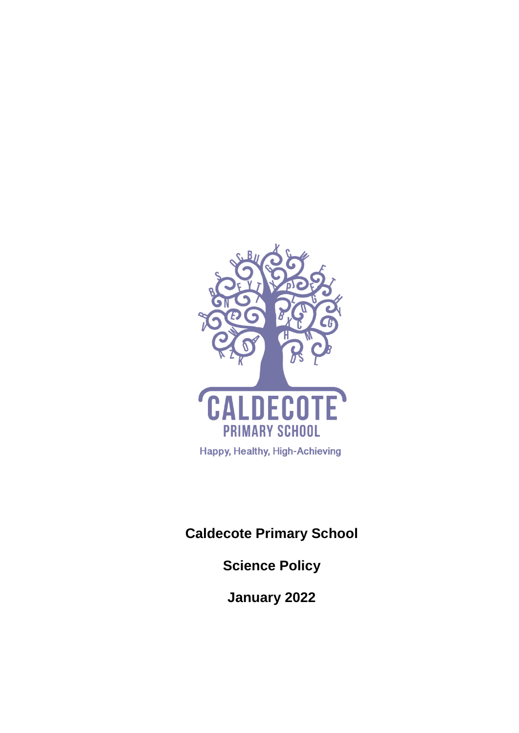

**Caldecote Primary School**

**Science Policy**

**January 2022**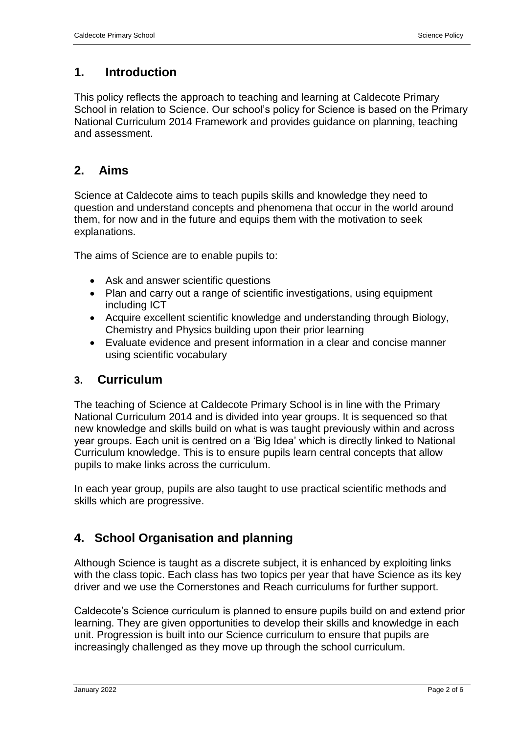### **1. Introduction**

This policy reflects the approach to teaching and learning at Caldecote Primary School in relation to Science. Our school's policy for Science is based on the Primary National Curriculum 2014 Framework and provides guidance on planning, teaching and assessment.

### **2. Aims**

Science at Caldecote aims to teach pupils skills and knowledge they need to question and understand concepts and phenomena that occur in the world around them, for now and in the future and equips them with the motivation to seek explanations.

The aims of Science are to enable pupils to:

- Ask and answer scientific questions
- Plan and carry out a range of scientific investigations, using equipment including ICT
- Acquire excellent scientific knowledge and understanding through Biology, Chemistry and Physics building upon their prior learning
- Evaluate evidence and present information in a clear and concise manner using scientific vocabulary

#### **3. Curriculum**

The teaching of Science at Caldecote Primary School is in line with the Primary National Curriculum 2014 and is divided into year groups. It is sequenced so that new knowledge and skills build on what is was taught previously within and across year groups. Each unit is centred on a 'Big Idea' which is directly linked to National Curriculum knowledge. This is to ensure pupils learn central concepts that allow pupils to make links across the curriculum.

In each year group, pupils are also taught to use practical scientific methods and skills which are progressive.

# **4. School Organisation and planning**

Although Science is taught as a discrete subject, it is enhanced by exploiting links with the class topic. Each class has two topics per year that have Science as its key driver and we use the Cornerstones and Reach curriculums for further support.

Caldecote's Science curriculum is planned to ensure pupils build on and extend prior learning. They are given opportunities to develop their skills and knowledge in each unit. Progression is built into our Science curriculum to ensure that pupils are increasingly challenged as they move up through the school curriculum.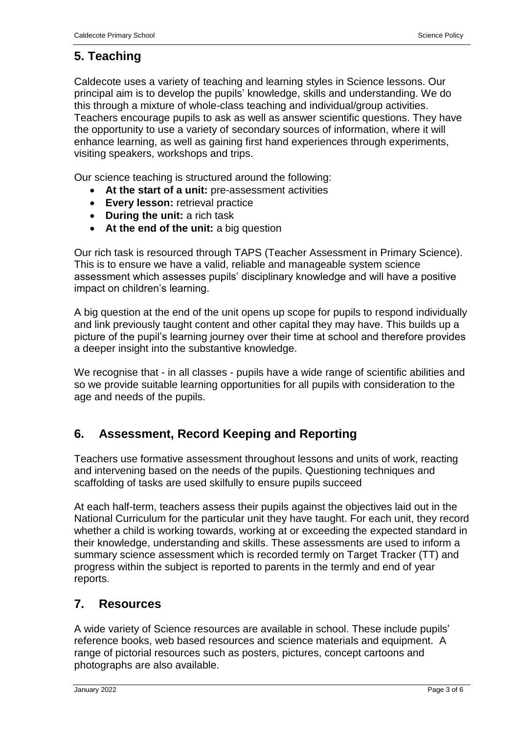# **5. Teaching**

Caldecote uses a variety of teaching and learning styles in Science lessons. Our principal aim is to develop the pupils' knowledge, skills and understanding. We do this through a mixture of whole-class teaching and individual/group activities. Teachers encourage pupils to ask as well as answer scientific questions. They have the opportunity to use a variety of secondary sources of information, where it will enhance learning, as well as gaining first hand experiences through experiments, visiting speakers, workshops and trips.

Our science teaching is structured around the following:

- **At the start of a unit:** pre-assessment activities
- **Every lesson:** retrieval practice
- **During the unit:** a rich task
- **At the end of the unit:** a big question

Our rich task is resourced through TAPS (Teacher Assessment in Primary Science). This is to ensure we have a valid, reliable and manageable system science assessment which assesses pupils' disciplinary knowledge and will have a positive impact on children's learning.

A big question at the end of the unit opens up scope for pupils to respond individually and link previously taught content and other capital they may have. This builds up a picture of the pupil's learning journey over their time at school and therefore provides a deeper insight into the substantive knowledge.

We recognise that - in all classes - pupils have a wide range of scientific abilities and so we provide suitable learning opportunities for all pupils with consideration to the age and needs of the pupils.

# **6. Assessment, Record Keeping and Reporting**

Teachers use formative assessment throughout lessons and units of work, reacting and intervening based on the needs of the pupils. Questioning techniques and scaffolding of tasks are used skilfully to ensure pupils succeed

At each half-term, teachers assess their pupils against the objectives laid out in the National Curriculum for the particular unit they have taught. For each unit, they record whether a child is working towards, working at or exceeding the expected standard in their knowledge, understanding and skills. These assessments are used to inform a summary science assessment which is recorded termly on Target Tracker (TT) and progress within the subject is reported to parents in the termly and end of year reports.

# **7. Resources**

A wide variety of Science resources are available in school. These include pupils' reference books, web based resources and science materials and equipment. A range of pictorial resources such as posters, pictures, concept cartoons and photographs are also available.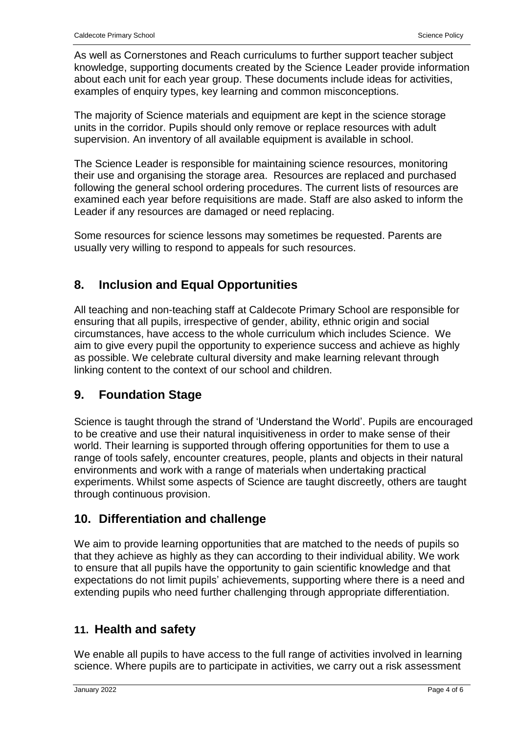As well as Cornerstones and Reach curriculums to further support teacher subject knowledge, supporting documents created by the Science Leader provide information about each unit for each year group. These documents include ideas for activities, examples of enquiry types, key learning and common misconceptions.

The majority of Science materials and equipment are kept in the science storage units in the corridor. Pupils should only remove or replace resources with adult supervision. An inventory of all available equipment is available in school.

The Science Leader is responsible for maintaining science resources, monitoring their use and organising the storage area. Resources are replaced and purchased following the general school ordering procedures. The current lists of resources are examined each year before requisitions are made. Staff are also asked to inform the Leader if any resources are damaged or need replacing.

Some resources for science lessons may sometimes be requested. Parents are usually very willing to respond to appeals for such resources.

# **8. Inclusion and Equal Opportunities**

All teaching and non-teaching staff at Caldecote Primary School are responsible for ensuring that all pupils, irrespective of gender, ability, ethnic origin and social circumstances, have access to the whole curriculum which includes Science. We aim to give every pupil the opportunity to experience success and achieve as highly as possible. We celebrate cultural diversity and make learning relevant through linking content to the context of our school and children.

# **9. Foundation Stage**

Science is taught through the strand of 'Understand the World'. Pupils are encouraged to be creative and use their natural inquisitiveness in order to make sense of their world. Their learning is supported through offering opportunities for them to use a range of tools safely, encounter creatures, people, plants and objects in their natural environments and work with a range of materials when undertaking practical experiments. Whilst some aspects of Science are taught discreetly, others are taught through continuous provision.

# **10. Differentiation and challenge**

We aim to provide learning opportunities that are matched to the needs of pupils so that they achieve as highly as they can according to their individual ability. We work to ensure that all pupils have the opportunity to gain scientific knowledge and that expectations do not limit pupils' achievements, supporting where there is a need and extending pupils who need further challenging through appropriate differentiation.

# **11. Health and safety**

We enable all pupils to have access to the full range of activities involved in learning science. Where pupils are to participate in activities, we carry out a risk assessment